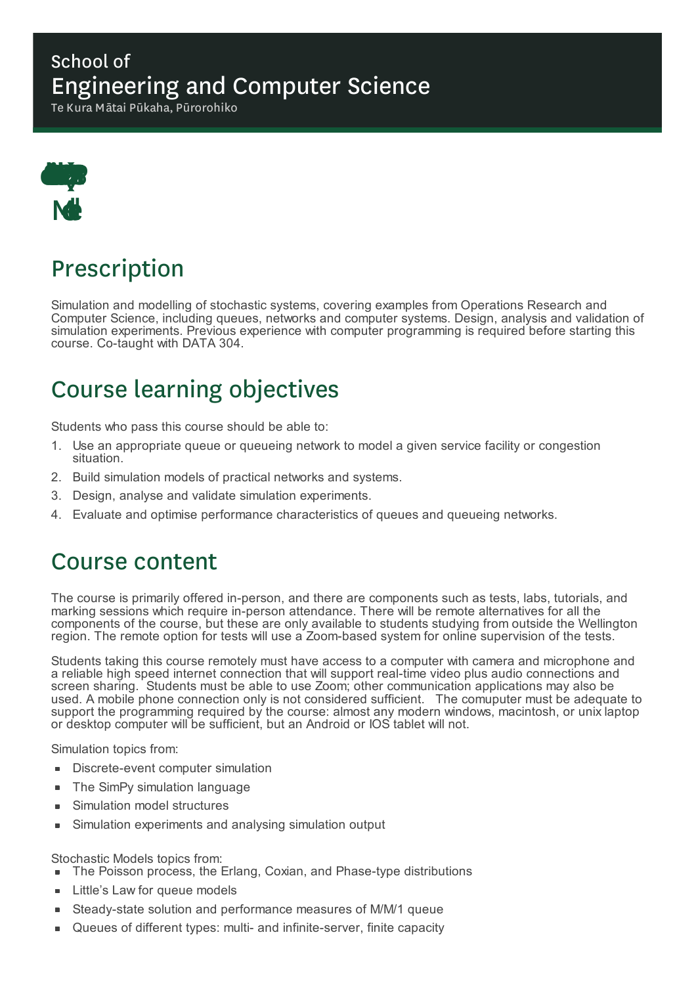### School of Engineering and Computer Science

Te Kura Mātai Pūkaha, Pūrorohiko



# Prescription

Simulation and modelling of stochastic systems, covering examples from Operations Research and Computer Science, including queues, networks and computer systems. Design, analysis and validation of simulation experiments. Previous experience with computer programming is required before starting this course. Co-taught with DATA 304.

# Course learning objectives

Students who pass this course should be able to:

- 1. Use an appropriate queue or queueing network to model a given service facility or congestion situation.
- 2. Build simulation models of practical networks and systems.
- 3. Design, analyse and validate simulation experiments.
- 4. Evaluate and optimise performance characteristics of queues and queueing networks.

### Course content

The course is primarily offered in-person, and there are components such as tests, labs, tutorials, and marking sessions which require in-person attendance. There will be remote alternatives for all the components of the course, but these are only available to students studying from outside the Wellington region. The remote option for tests will use a Zoom-based system for online supervision of the tests.

Students taking this course remotely must have access to a computer with camera and microphone and a reliable high speed internet connection that will support real-time video plus audio connections and screen sharing. Students must be able to use Zoom; other communication applications may also be used. A mobile phone connection only is not considered sufficient. The comuputer must be adequate to support the programming required by the course: almost any modern windows, macintosh, or unix laptop or desktop computer will be sufficient, but an Android or IOS tablet will not.

Simulation topics from:

- Discrete-event computer simulation
- The SimPy simulation language  $\blacksquare$
- Simulation model structures ٠
- Simulation experiments and analysing simulation output

#### Stochastic Models topics from:

- The Poisson process, the Erlang, Coxian, and Phase-type distributions
- Little's Law for queue models
- Steady-state solution and performance measures of M/M/1 queue
- Queues of different types: multi- and infinite-server, finite capacity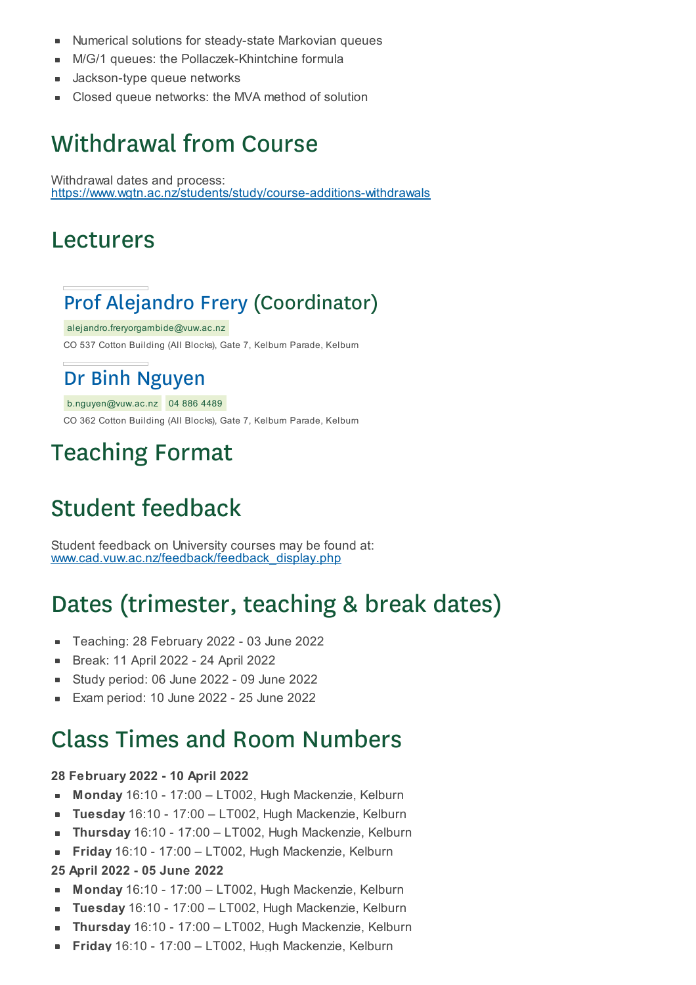- Numerical solutions for steady-state Markovian queues  $\blacksquare$
- M/G/1 queues: the Pollaczek-Khintchine formula
- Jackson-type queue networks
- Closed queue networks: the MVA method of solution ×

## Withdrawal from Course

Withdrawal dates and process: https://www.wgtn.ac.nz/students/study/course-additions-withdrawals

### Lecturers

## Prof Alejandro Frery (Coordinator)

alejandro.freryorgambide@vuw.ac.nz CO 537 Cotton Building (All Blocks), Gate 7, Kelburn Parade, Kelburn

### Dr Binh Nguyen

b.nguyen@vuw.ac.nz 04 886 4489

CO 362 Cotton Building (All Blocks), Gate 7, Kelburn Parade, Kelburn

## Teaching Format

# Student feedback

Student feedback on University courses may be found at: www.cad.vuw.ac.nz/feedback/feedback\_display.php

## Dates (trimester, teaching & break dates)

- Teaching: 28 February 2022 03 June 2022  $\blacksquare$
- Break: 11 April 2022 24 April 2022
- Study period: 06 June 2022 09 June 2022
- Exam period: 10 June 2022 25 June 2022

## Class Times and Room Numbers

#### **28 February 2022 - 10 April 2022**

- $\blacksquare$ **Monday** 16:10 - 17:00 – LT002, Hugh Mackenzie, Kelburn
- **Tuesday** 16:10 17:00 LT002, Hugh Mackenzie, Kelburn
- **Thursday** 16:10 17:00 LT002, Hugh Mackenzie, Kelburn É
- **Friday** 16:10 17:00 LT002, Hugh Mackenzie, Kelburn  $\blacksquare$

#### **25 April 2022 - 05 June 2022**

- **Monday** 16:10 17:00 LT002, Hugh Mackenzie, Kelburn
- **Tuesday** 16:10 17:00 LT002, Hugh Mackenzie, Kelburn
- **Thursday** 16:10 17:00 LT002, Hugh Mackenzie, Kelburn É
- **Friday** 16:10 17:00 LT002, Hugh Mackenzie, Kelburn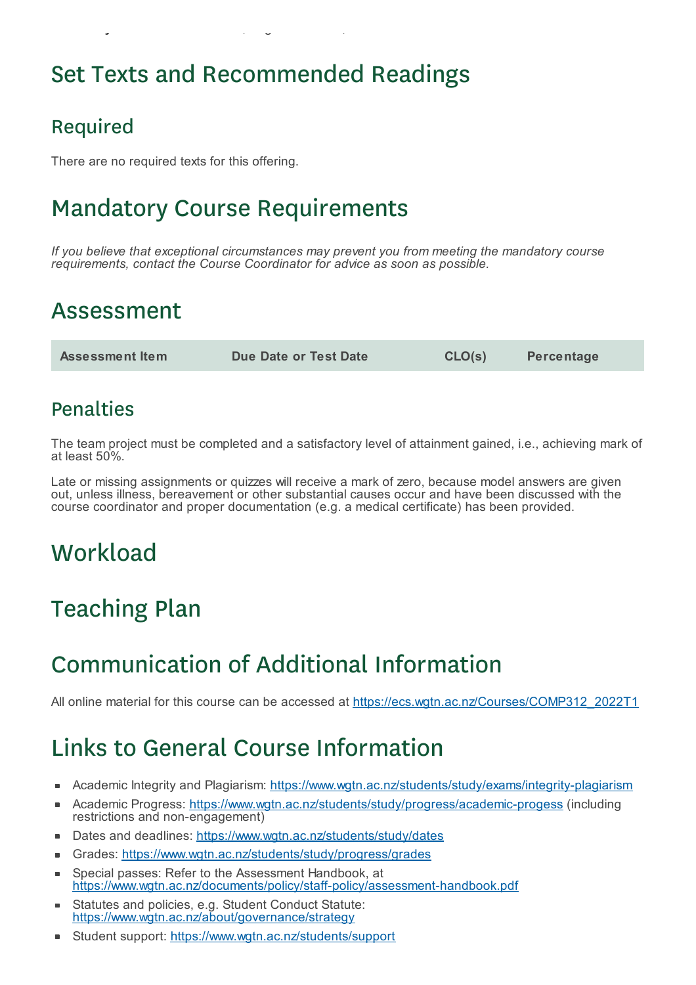# Set Texts and Recommended Readings

**Friday** 16:10 - 17:00 – LT002, Hugh Mackenzie, Kelburn

### Required

There are no required texts for this offering.

# Mandatory Course Requirements

*If you believe that exceptional circumstances may prevent you from meeting the mandatory course requirements, contact the Course Coordinator for advice as soon as possible.*

## Assessment

**Assessment Item Due Date or Test Date CLO(s) Percentage**

### **Penalties**

The team project must be completed and a satisfactory level of attainment gained, i.e., achieving mark of at least 50%.

Late or missing assignments or quizzes will receive a mark of zero, because model answers are given out, unless illness, bereavement or other substantial causes occur and have been discussed with the course coordinator and proper documentation (e.g. a medical certificate) has been provided.

# **Workload**

# Teaching Plan

## Communication of Additional Information

All online material for this course can be accessed at https://ecs.wgtn.ac.nz/Courses/COMP312\_2022T1

# Links to General Course Information

- Academic Integrity and Plagiarism: https://www.wgtn.ac.nz/students/study/exams/integrity-plagiarism
- Academic Progress: https://www.wgtn.ac.nz/students/study/progress/academic-progess (including restrictions and non-engagement)
- Dates and deadlines: https://www.wgtn.ac.nz/students/study/dates  $\blacksquare$
- Grades: https://www.wgtn.ac.nz/students/study/progress/grades É
- Special passes: Refer to the Assessment Handbook, at https://www.wgtn.ac.nz/documents/policy/staff-policy/assessment-handbook.pdf
- Statutes and policies, e.g. Student Conduct Statute: https://www.wgtn.ac.nz/about/governance/strategy
- Student support: https://www.wgtn.ac.nz/students/support